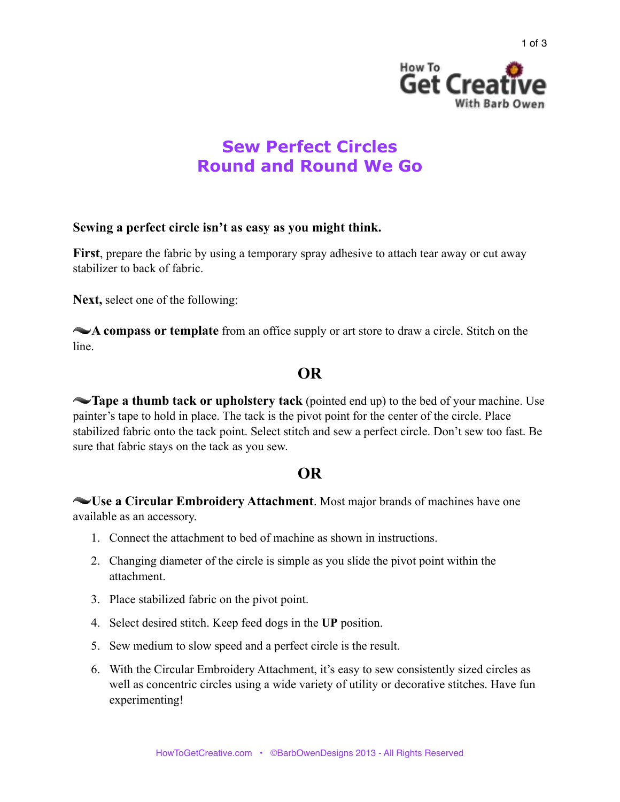



# **Sew Perfect Circles Round and Round We Go**

#### **Sewing a perfect circle isn't as easy as you might think.**

**First**, prepare the fabric by using a temporary spray adhesive to attach tear away or cut away stabilizer to back of fabric.

**Next,** select one of the following:

**A compass or template** from an office supply or art store to draw a circle. Stitch on the line.

# **OR**

**Tape a thumb tack or upholstery tack** (pointed end up) to the bed of your machine. Use painter's tape to hold in place. The tack is the pivot point for the center of the circle. Place stabilized fabric onto the tack point. Select stitch and sew a perfect circle. Don't sew too fast. Be sure that fabric stays on the tack as you sew.

## **OR**

**Use a Circular Embroidery Attachment**. Most major brands of machines have one available as an accessory.

- 1. Connect the attachment to bed of machine as shown in instructions.
- 2. Changing diameter of the circle is simple as you slide the pivot point within the attachment.
- 3. Place stabilized fabric on the pivot point.
- 4. Select desired stitch. Keep feed dogs in the **UP** position.
- 5. Sew medium to slow speed and a perfect circle is the result.
- 6. With the Circular Embroidery Attachment, it's easy to sew consistently sized circles as well as concentric circles using a wide variety of utility or decorative stitches. Have fun experimenting!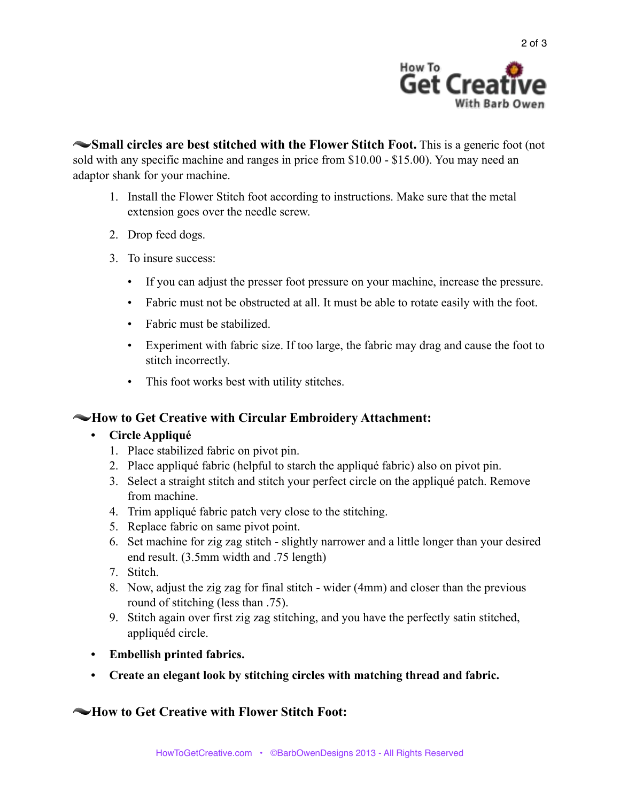

**Small circles are best stitched with the Flower Stitch Foot.** This is a generic foot (not sold with any specific machine and ranges in price from \$10.00 - \$15.00). You may need an adaptor shank for your machine.

- 1. Install the Flower Stitch foot according to instructions. Make sure that the metal extension goes over the needle screw.
- 2. Drop feed dogs.
- 3. To insure success:
	- If you can adjust the presser foot pressure on your machine, increase the pressure.
	- Fabric must not be obstructed at all. It must be able to rotate easily with the foot.
	- Fabric must be stabilized.
	- Experiment with fabric size. If too large, the fabric may drag and cause the foot to stitch incorrectly.
	- This foot works best with utility stitches.

### **How to Get Creative with Circular Embroidery Attachment:**

#### **• Circle Appliqué**

- 1. Place stabilized fabric on pivot pin.
- 2. Place appliqué fabric (helpful to starch the appliqué fabric) also on pivot pin.
- 3. Select a straight stitch and stitch your perfect circle on the appliqué patch. Remove from machine.
- 4. Trim appliqué fabric patch very close to the stitching.
- 5. Replace fabric on same pivot point.
- 6. Set machine for zig zag stitch slightly narrower and a little longer than your desired end result. (3.5mm width and .75 length)
- 7. Stitch.
- 8. Now, adjust the zig zag for final stitch wider (4mm) and closer than the previous round of stitching (less than .75).
- 9. Stitch again over first zig zag stitching, and you have the perfectly satin stitched, appliquéd circle.
- **• Embellish printed fabrics.**
- **• Create an elegant look by stitching circles with matching thread and fabric.**

### $\sim$ **How to Get Creative with Flower Stitch Foot:**